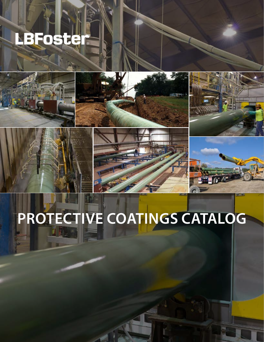# LBFoster







# **PROTECTIVE COATINGS CATALOG**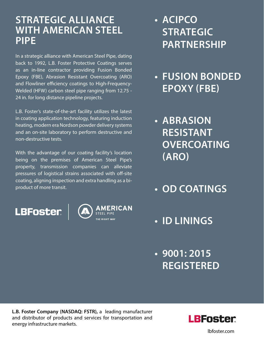#### **STRATEGIC ALLIANCE WITH AMERICAN STEEL PIPE**

In a strategic alliance with American Steel Pipe, dating back to 1992, L.B. Foster Protective Coatings serves as an in-line contractor providing Fusion Bonded Epoxy (FBE), Abrasion Resistant Overcoating (ARO) and Flowliner efficiency coatings to High-Frequency-Welded (HFW) carbon steel pipe ranging from 12.75 - 24 in. for long distance pipeline projects.

L.B. Foster's state-of-the-art facility utilizes the latest in coating application technology, featuring induction heating, modern era Nordson powder delivery systems and an on-site laboratory to perform destructive and non-destructive tests.

With the advantage of our coating facility's location being on the premises of American Steel Pipe's property, transmission companies can alleviate pressures of logistical strains associated with off-site coating, aligning inspection and extra handling as a biproduct of more transit.

**LBFoster** 



- **• ACIPCO STRATEGIC PARTNERSHIP**
- **• FUSION BONDED EPOXY (FBE)**
- **• ABRASION RESISTANT OVERCOATING (ARO)**
- **• OD COATINGS**
- **• ID LININGS**
- **• 9001: 2015 REGISTERED**

**L.B. Foster Company (NASDAQ: FSTR),** a leading manufacturer and distributor of products and services for transportation and energy infrastructure markets.



lbfoster.com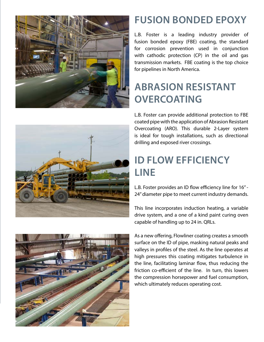



### **FUSION BONDED EPOXY**

L.B. Foster is a leading industry provider of fusion bonded epoxy (FBE) coating, the standard for corrosion prevention used in conjunction with cathodic protection (CP) in the oil and gas transmission markets. FBE coating is the top choice for pipelines in North America.

#### **ABRASION RESISTANT OVERCOATING**

L.B. Foster can provide additional protection to FBE coated pipe with the application of Abrasion Resistant Overcoating (ARO). This durable 2-Layer system is ideal for tough installations, such as directional drilling and exposed river crossings.

### **ID FLOW EFFICIENCY LINE**

L.B. Foster provides an ID flow efficiency line for 16" - 24" diameter pipe to meet current industry demands.

This line incorporates induction heating, a variable drive system, and a one of a kind paint curing oven capable of handling up to 24 in. QRLs.



As a new offering, Flowliner coating creates a smooth surface on the ID of pipe, masking natural peaks and valleys in profiles of the steel. As the line operates at high pressures this coating mitigates turbulence in the line, facilitating laminar flow, thus reducing the friction co-efficient of the line. In turn, this lowers the compression horsepower and fuel consumption, which ultimately reduces operating cost.